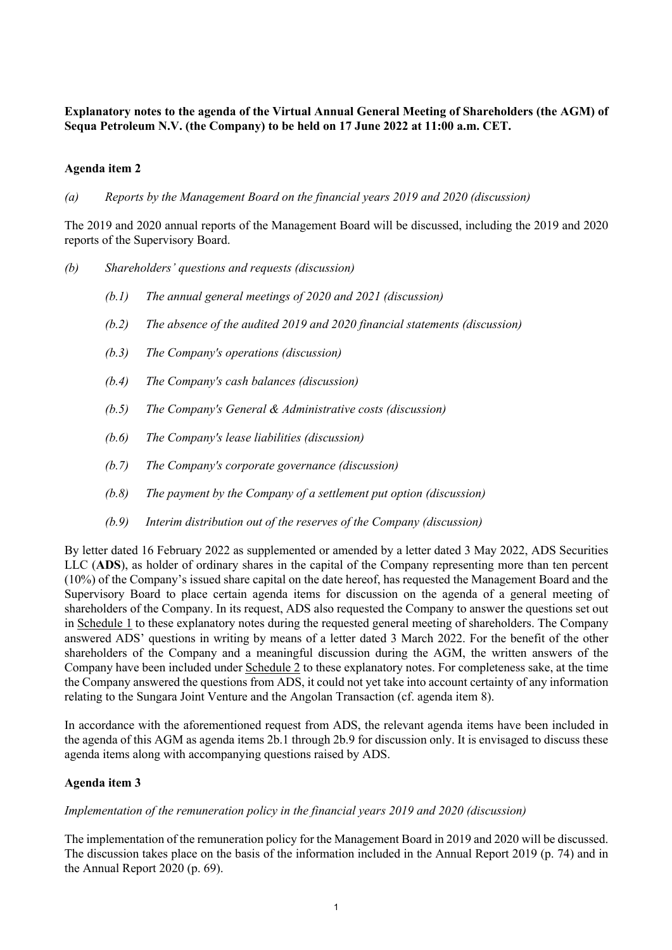**Explanatory notes to the agenda of the Virtual Annual General Meeting of Shareholders (the AGM) of Sequa Petroleum N.V. (the Company) to be held on 17 June 2022 at 11:00 a.m. CET.**

### **Agenda item 2**

*(a) Reports by the Management Board on the financial years 2019 and 2020 (discussion)*

The 2019 and 2020 annual reports of the Management Board will be discussed, including the 2019 and 2020 reports of the Supervisory Board.

- *(b) Shareholders' questions and requests (discussion)*
	- *(b.1) The annual general meetings of 2020 and 2021 (discussion)*
	- *(b.2) The absence of the audited 2019 and 2020 financial statements (discussion)*
	- *(b.3) The Company's operations (discussion)*
	- *(b.4) The Company's cash balances (discussion)*
	- *(b.5) The Company's General & Administrative costs (discussion)*
	- *(b.6) The Company's lease liabilities (discussion)*
	- *(b.7) The Company's corporate governance (discussion)*
	- *(b.8) The payment by the Company of a settlement put option (discussion)*
	- *(b.9) Interim distribution out of the reserves of the Company (discussion)*

By letter dated 16 February 2022 as supplemented or amended by a letter dated 3 May 2022, ADS Securities LLC (**ADS**), as holder of ordinary shares in the capital of the Company representing more than ten percent (10%) of the Company's issued share capital on the date hereof, has requested the Management Board and the Supervisory Board to place certain agenda items for discussion on the agenda of a general meeting of shareholders of the Company. In its request, ADS also requested the Company to answer the questions set out in Schedule 1 to these explanatory notes during the requested general meeting of shareholders. The Company answered ADS' questions in writing by means of a letter dated 3 March 2022. For the benefit of the other shareholders of the Company and a meaningful discussion during the AGM, the written answers of the Company have been included under Schedule 2 to these explanatory notes. For completeness sake, at the time the Company answered the questions from ADS, it could not yet take into account certainty of any information relating to the Sungara Joint Venture and the Angolan Transaction (cf. agenda item 8).

In accordance with the aforementioned request from ADS, the relevant agenda items have been included in the agenda of this AGM as agenda items 2b.1 through 2b.9 for discussion only. It is envisaged to discuss these agenda items along with accompanying questions raised by ADS.

# **Agenda item 3**

### *Implementation of the remuneration policy in the financial years 2019 and 2020 (discussion)*

The implementation of the remuneration policy for the Management Board in 2019 and 2020 will be discussed. The discussion takes place on the basis of the information included in the Annual Report 2019 (p. 74) and in the Annual Report 2020 (p. 69).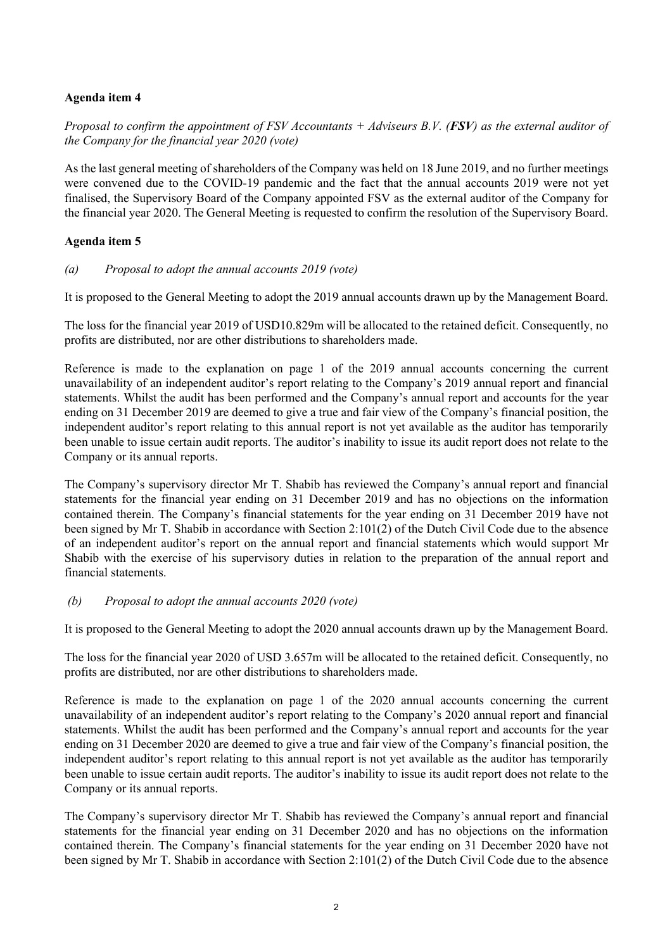# **Agenda item 4**

*Proposal to confirm the appointment of FSV Accountants + Adviseurs B.V. (FSV) as the external auditor of the Company for the financial year 2020 (vote)*

As the last general meeting of shareholders of the Company was held on 18 June 2019, and no further meetings were convened due to the COVID-19 pandemic and the fact that the annual accounts 2019 were not yet finalised, the Supervisory Board of the Company appointed FSV as the external auditor of the Company for the financial year 2020. The General Meeting is requested to confirm the resolution of the Supervisory Board.

## **Agenda item 5**

## *(a) Proposal to adopt the annual accounts 2019 (vote)*

It is proposed to the General Meeting to adopt the 2019 annual accounts drawn up by the Management Board.

The loss for the financial year 2019 of USD10.829m will be allocated to the retained deficit. Consequently, no profits are distributed, nor are other distributions to shareholders made.

Reference is made to the explanation on page 1 of the 2019 annual accounts concerning the current unavailability of an independent auditor's report relating to the Company's 2019 annual report and financial statements. Whilst the audit has been performed and the Company's annual report and accounts for the year ending on 31 December 2019 are deemed to give a true and fair view of the Company's financial position, the independent auditor's report relating to this annual report is not yet available as the auditor has temporarily been unable to issue certain audit reports. The auditor's inability to issue its audit report does not relate to the Company or its annual reports.

The Company's supervisory director Mr T. Shabib has reviewed the Company's annual report and financial statements for the financial year ending on 31 December 2019 and has no objections on the information contained therein. The Company's financial statements for the year ending on 31 December 2019 have not been signed by Mr T. Shabib in accordance with Section 2:101(2) of the Dutch Civil Code due to the absence of an independent auditor's report on the annual report and financial statements which would support Mr Shabib with the exercise of his supervisory duties in relation to the preparation of the annual report and financial statements.

### *(b) Proposal to adopt the annual accounts 2020 (vote)*

It is proposed to the General Meeting to adopt the 2020 annual accounts drawn up by the Management Board.

The loss for the financial year 2020 of USD 3.657m will be allocated to the retained deficit. Consequently, no profits are distributed, nor are other distributions to shareholders made.

Reference is made to the explanation on page 1 of the 2020 annual accounts concerning the current unavailability of an independent auditor's report relating to the Company's 2020 annual report and financial statements. Whilst the audit has been performed and the Company's annual report and accounts for the year ending on 31 December 2020 are deemed to give a true and fair view of the Company's financial position, the independent auditor's report relating to this annual report is not yet available as the auditor has temporarily been unable to issue certain audit reports. The auditor's inability to issue its audit report does not relate to the Company or its annual reports.

The Company's supervisory director Mr T. Shabib has reviewed the Company's annual report and financial statements for the financial year ending on 31 December 2020 and has no objections on the information contained therein. The Company's financial statements for the year ending on 31 December 2020 have not been signed by Mr T. Shabib in accordance with Section 2:101(2) of the Dutch Civil Code due to the absence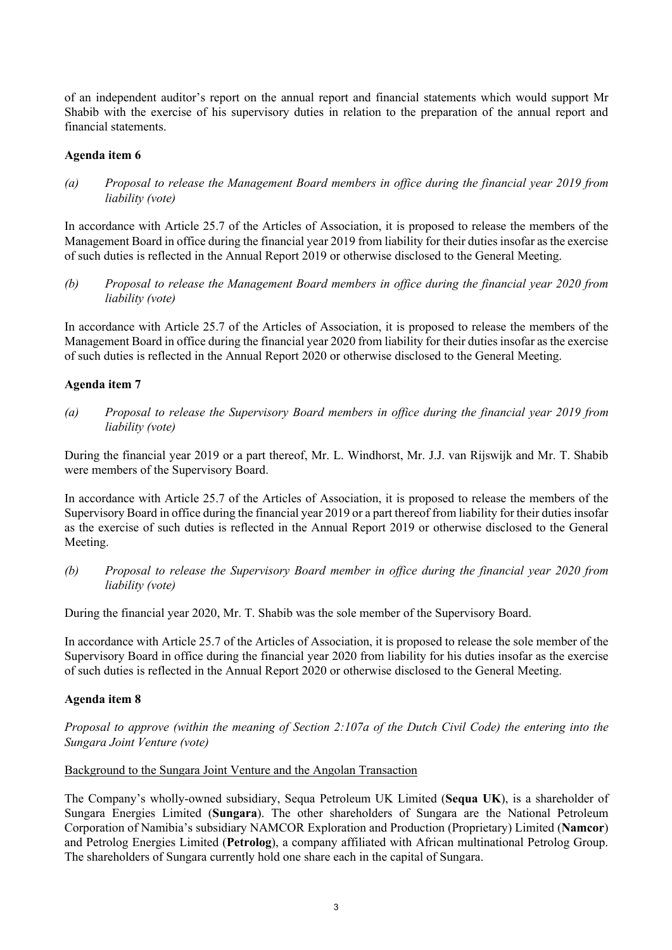of an independent auditor's report on the annual report and financial statements which would support Mr Shabib with the exercise of his supervisory duties in relation to the preparation of the annual report and financial statements.

## **Agenda item 6**

*(a) Proposal to release the Management Board members in office during the financial year 2019 from liability (vote)*

In accordance with Article 25.7 of the Articles of Association, it is proposed to release the members of the Management Board in office during the financial year 2019 from liability for their duties insofar as the exercise of such duties is reflected in the Annual Report 2019 or otherwise disclosed to the General Meeting.

*(b) Proposal to release the Management Board members in office during the financial year 2020 from liability (vote)*

In accordance with Article 25.7 of the Articles of Association, it is proposed to release the members of the Management Board in office during the financial year 2020 from liability for their duties insofar as the exercise of such duties is reflected in the Annual Report 2020 or otherwise disclosed to the General Meeting.

## **Agenda item 7**

*(a) Proposal to release the Supervisory Board members in office during the financial year 2019 from liability (vote)*

During the financial year 2019 or a part thereof, Mr. L. Windhorst, Mr. J.J. van Rijswijk and Mr. T. Shabib were members of the Supervisory Board.

In accordance with Article 25.7 of the Articles of Association, it is proposed to release the members of the Supervisory Board in office during the financial year 2019 or a part thereof from liability for their duties insofar as the exercise of such duties is reflected in the Annual Report 2019 or otherwise disclosed to the General Meeting.

*(b) Proposal to release the Supervisory Board member in office during the financial year 2020 from liability (vote)*

During the financial year 2020, Mr. T. Shabib was the sole member of the Supervisory Board.

In accordance with Article 25.7 of the Articles of Association, it is proposed to release the sole member of the Supervisory Board in office during the financial year 2020 from liability for his duties insofar as the exercise of such duties is reflected in the Annual Report 2020 or otherwise disclosed to the General Meeting.

# **Agenda item 8**

*Proposal to approve (within the meaning of Section 2:107a of the Dutch Civil Code) the entering into the Sungara Joint Venture (vote)* 

# Background to the Sungara Joint Venture and the Angolan Transaction

The Company's wholly-owned subsidiary, Sequa Petroleum UK Limited (**Sequa UK**), is a shareholder of Sungara Energies Limited (**Sungara**). The other shareholders of Sungara are the National Petroleum Corporation of Namibia's subsidiary NAMCOR Exploration and Production (Proprietary) Limited (**Namcor**) and Petrolog Energies Limited (**Petrolog**), a company affiliated with African multinational Petrolog Group. The shareholders of Sungara currently hold one share each in the capital of Sungara.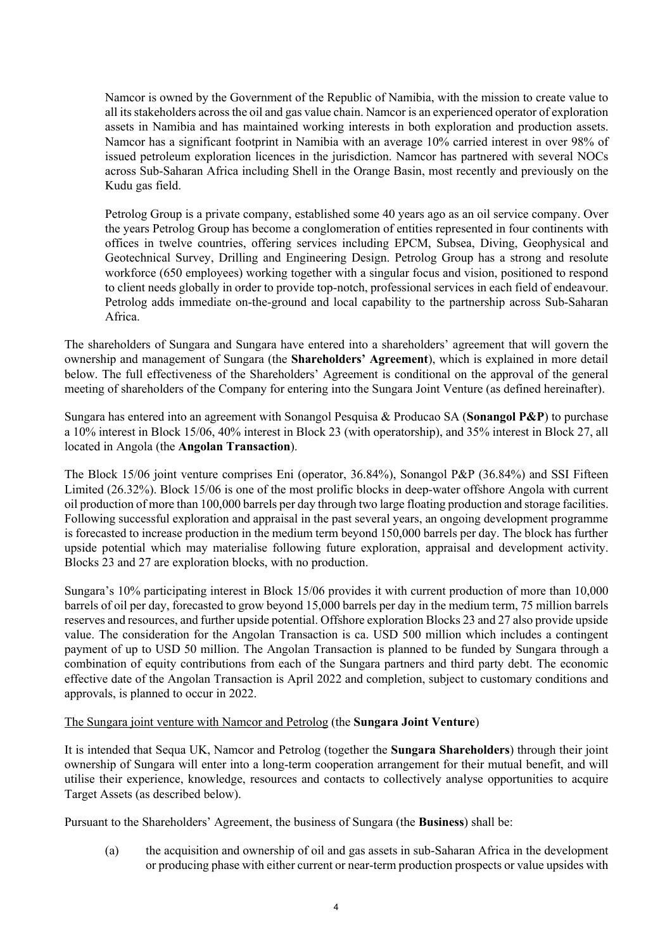Namcor is owned by the Government of the Republic of Namibia, with the mission to create value to all its stakeholders across the oil and gas value chain. Namcor is an experienced operator of exploration assets in Namibia and has maintained working interests in both exploration and production assets. Namcor has a significant footprint in Namibia with an average 10% carried interest in over 98% of issued petroleum exploration licences in the jurisdiction. Namcor has partnered with several NOCs across Sub-Saharan Africa including Shell in the Orange Basin, most recently and previously on the Kudu gas field.

Petrolog Group is a private company, established some 40 years ago as an oil service company. Over the years Petrolog Group has become a conglomeration of entities represented in four continents with offices in twelve countries, offering services including EPCM, Subsea, Diving, Geophysical and Geotechnical Survey, Drilling and Engineering Design. Petrolog Group has a strong and resolute workforce (650 employees) working together with a singular focus and vision, positioned to respond to client needs globally in order to provide top-notch, professional services in each field of endeavour. Petrolog adds immediate on-the-ground and local capability to the partnership across Sub-Saharan Africa.

The shareholders of Sungara and Sungara have entered into a shareholders' agreement that will govern the ownership and management of Sungara (the **Shareholders' Agreement**), which is explained in more detail below. The full effectiveness of the Shareholders' Agreement is conditional on the approval of the general meeting of shareholders of the Company for entering into the Sungara Joint Venture (as defined hereinafter).

Sungara has entered into an agreement with Sonangol Pesquisa & Producao SA (**Sonangol P&P**) to purchase a 10% interest in Block 15/06, 40% interest in Block 23 (with operatorship), and 35% interest in Block 27, all located in Angola (the **Angolan Transaction**).

The Block 15/06 joint venture comprises Eni (operator, 36.84%), Sonangol P&P (36.84%) and SSI Fifteen Limited (26.32%). Block 15/06 is one of the most prolific blocks in deep-water offshore Angola with current oil production of more than 100,000 barrels per day through two large floating production and storage facilities. Following successful exploration and appraisal in the past several years, an ongoing development programme is forecasted to increase production in the medium term beyond 150,000 barrels per day. The block has further upside potential which may materialise following future exploration, appraisal and development activity. Blocks 23 and 27 are exploration blocks, with no production.

Sungara's 10% participating interest in Block 15/06 provides it with current production of more than 10,000 barrels of oil per day, forecasted to grow beyond 15,000 barrels per day in the medium term, 75 million barrels reserves and resources, and further upside potential. Offshore exploration Blocks 23 and 27 also provide upside value. The consideration for the Angolan Transaction is ca. USD 500 million which includes a contingent payment of up to USD 50 million. The Angolan Transaction is planned to be funded by Sungara through a combination of equity contributions from each of the Sungara partners and third party debt. The economic effective date of the Angolan Transaction is April 2022 and completion, subject to customary conditions and approvals, is planned to occur in 2022.

### The Sungara joint venture with Namcor and Petrolog (the **Sungara Joint Venture**)

It is intended that Sequa UK, Namcor and Petrolog (together the **Sungara Shareholders**) through their joint ownership of Sungara will enter into a long-term cooperation arrangement for their mutual benefit, and will utilise their experience, knowledge, resources and contacts to collectively analyse opportunities to acquire Target Assets (as described below).

Pursuant to the Shareholders' Agreement, the business of Sungara (the **Business**) shall be:

(a) the acquisition and ownership of oil and gas assets in sub-Saharan Africa in the development or producing phase with either current or near-term production prospects or value upsides with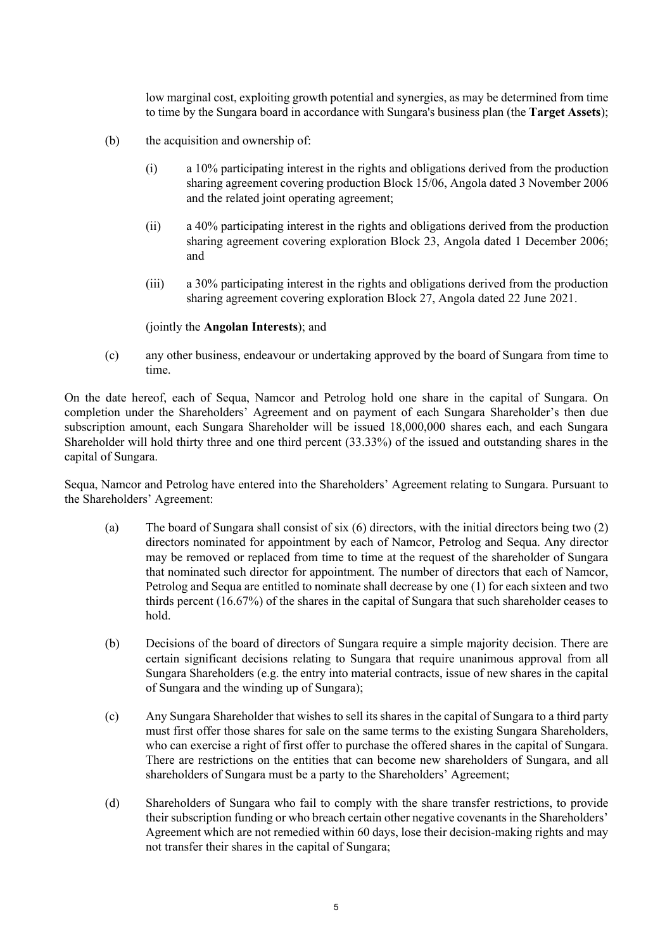low marginal cost, exploiting growth potential and synergies, as may be determined from time to time by the Sungara board in accordance with Sungara's business plan (the **Target Assets**);

- (b) the acquisition and ownership of:
	- (i) a 10% participating interest in the rights and obligations derived from the production sharing agreement covering production Block 15/06, Angola dated 3 November 2006 and the related joint operating agreement;
	- (ii) a 40% participating interest in the rights and obligations derived from the production sharing agreement covering exploration Block 23, Angola dated 1 December 2006; and
	- (iii) a 30% participating interest in the rights and obligations derived from the production sharing agreement covering exploration Block 27, Angola dated 22 June 2021.

(jointly the **Angolan Interests**); and

(c) any other business, endeavour or undertaking approved by the board of Sungara from time to time.

On the date hereof, each of Sequa, Namcor and Petrolog hold one share in the capital of Sungara. On completion under the Shareholders' Agreement and on payment of each Sungara Shareholder's then due subscription amount, each Sungara Shareholder will be issued 18,000,000 shares each, and each Sungara Shareholder will hold thirty three and one third percent (33.33%) of the issued and outstanding shares in the capital of Sungara.

Sequa, Namcor and Petrolog have entered into the Shareholders' Agreement relating to Sungara. Pursuant to the Shareholders' Agreement:

- (a) The board of Sungara shall consist of six (6) directors, with the initial directors being two (2) directors nominated for appointment by each of Namcor, Petrolog and Sequa. Any director may be removed or replaced from time to time at the request of the shareholder of Sungara that nominated such director for appointment. The number of directors that each of Namcor, Petrolog and Sequa are entitled to nominate shall decrease by one (1) for each sixteen and two thirds percent (16.67%) of the shares in the capital of Sungara that such shareholder ceases to hold.
- (b) Decisions of the board of directors of Sungara require a simple majority decision. There are certain significant decisions relating to Sungara that require unanimous approval from all Sungara Shareholders (e.g. the entry into material contracts, issue of new shares in the capital of Sungara and the winding up of Sungara);
- (c) Any Sungara Shareholder that wishes to sell its shares in the capital of Sungara to a third party must first offer those shares for sale on the same terms to the existing Sungara Shareholders, who can exercise a right of first offer to purchase the offered shares in the capital of Sungara. There are restrictions on the entities that can become new shareholders of Sungara, and all shareholders of Sungara must be a party to the Shareholders' Agreement;
- (d) Shareholders of Sungara who fail to comply with the share transfer restrictions, to provide their subscription funding or who breach certain other negative covenants in the Shareholders' Agreement which are not remedied within 60 days, lose their decision-making rights and may not transfer their shares in the capital of Sungara;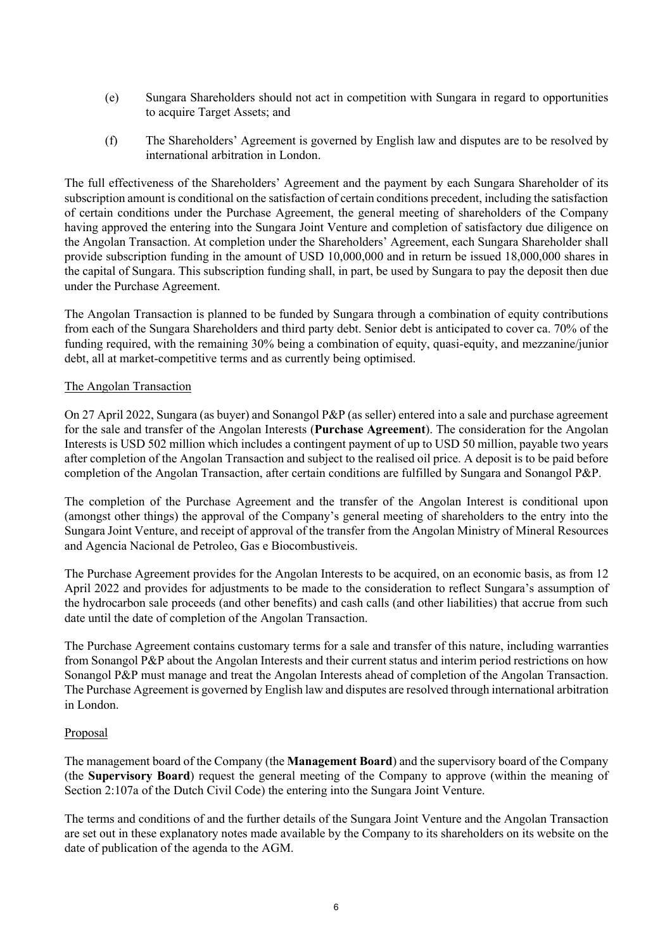- (e) Sungara Shareholders should not act in competition with Sungara in regard to opportunities to acquire Target Assets; and
- (f) The Shareholders' Agreement is governed by English law and disputes are to be resolved by international arbitration in London.

The full effectiveness of the Shareholders' Agreement and the payment by each Sungara Shareholder of its subscription amount is conditional on the satisfaction of certain conditions precedent, including the satisfaction of certain conditions under the Purchase Agreement, the general meeting of shareholders of the Company having approved the entering into the Sungara Joint Venture and completion of satisfactory due diligence on the Angolan Transaction. At completion under the Shareholders' Agreement, each Sungara Shareholder shall provide subscription funding in the amount of USD 10,000,000 and in return be issued 18,000,000 shares in the capital of Sungara. This subscription funding shall, in part, be used by Sungara to pay the deposit then due under the Purchase Agreement.

The Angolan Transaction is planned to be funded by Sungara through a combination of equity contributions from each of the Sungara Shareholders and third party debt. Senior debt is anticipated to cover ca. 70% of the funding required, with the remaining 30% being a combination of equity, quasi-equity, and mezzanine/junior debt, all at market-competitive terms and as currently being optimised.

#### The Angolan Transaction

On 27 April 2022, Sungara (as buyer) and Sonangol P&P (as seller) entered into a sale and purchase agreement for the sale and transfer of the Angolan Interests (**Purchase Agreement**). The consideration for the Angolan Interests is USD 502 million which includes a contingent payment of up to USD 50 million, payable two years after completion of the Angolan Transaction and subject to the realised oil price. A deposit is to be paid before completion of the Angolan Transaction, after certain conditions are fulfilled by Sungara and Sonangol P&P.

The completion of the Purchase Agreement and the transfer of the Angolan Interest is conditional upon (amongst other things) the approval of the Company's general meeting of shareholders to the entry into the Sungara Joint Venture, and receipt of approval of the transfer from the Angolan Ministry of Mineral Resources and Agencia Nacional de Petroleo, Gas e Biocombustiveis.

The Purchase Agreement provides for the Angolan Interests to be acquired, on an economic basis, as from 12 April 2022 and provides for adjustments to be made to the consideration to reflect Sungara's assumption of the hydrocarbon sale proceeds (and other benefits) and cash calls (and other liabilities) that accrue from such date until the date of completion of the Angolan Transaction.

The Purchase Agreement contains customary terms for a sale and transfer of this nature, including warranties from Sonangol P&P about the Angolan Interests and their current status and interim period restrictions on how Sonangol P&P must manage and treat the Angolan Interests ahead of completion of the Angolan Transaction. The Purchase Agreement is governed by English law and disputes are resolved through international arbitration in London.

### Proposal

The management board of the Company (the **Management Board**) and the supervisory board of the Company (the **Supervisory Board**) request the general meeting of the Company to approve (within the meaning of Section 2:107a of the Dutch Civil Code) the entering into the Sungara Joint Venture.

The terms and conditions of and the further details of the Sungara Joint Venture and the Angolan Transaction are set out in these explanatory notes made available by the Company to its shareholders on its website on the date of publication of the agenda to the AGM.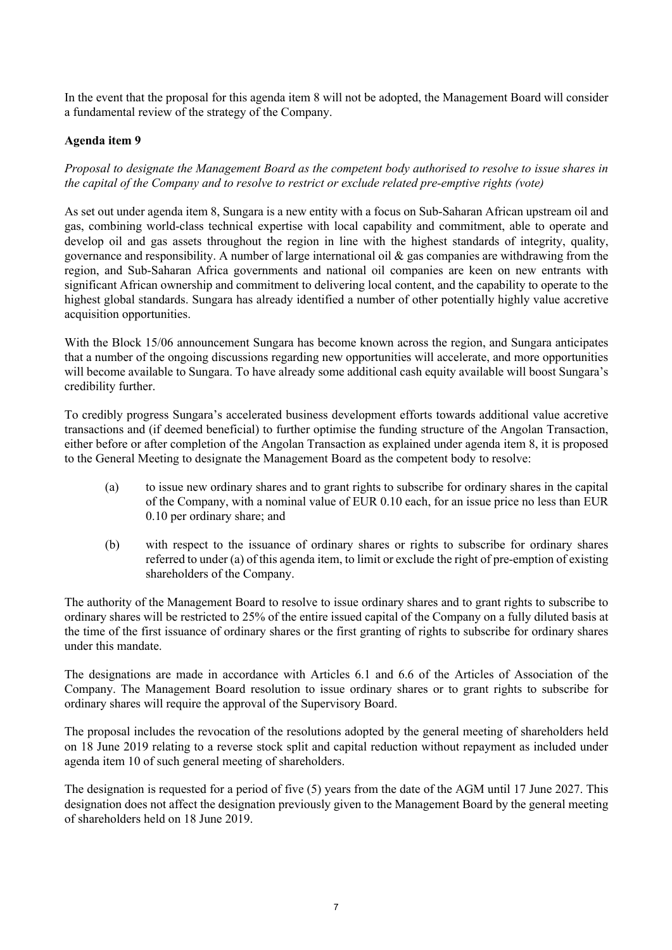In the event that the proposal for this agenda item 8 will not be adopted, the Management Board will consider a fundamental review of the strategy of the Company.

## **Agenda item 9**

*Proposal to designate the Management Board as the competent body authorised to resolve to issue shares in the capital of the Company and to resolve to restrict or exclude related pre-emptive rights (vote)*

As set out under agenda item 8, Sungara is a new entity with a focus on Sub-Saharan African upstream oil and gas, combining world-class technical expertise with local capability and commitment, able to operate and develop oil and gas assets throughout the region in line with the highest standards of integrity, quality, governance and responsibility. A number of large international oil & gas companies are withdrawing from the region, and Sub-Saharan Africa governments and national oil companies are keen on new entrants with significant African ownership and commitment to delivering local content, and the capability to operate to the highest global standards. Sungara has already identified a number of other potentially highly value accretive acquisition opportunities.

With the Block 15/06 announcement Sungara has become known across the region, and Sungara anticipates that a number of the ongoing discussions regarding new opportunities will accelerate, and more opportunities will become available to Sungara. To have already some additional cash equity available will boost Sungara's credibility further.

To credibly progress Sungara's accelerated business development efforts towards additional value accretive transactions and (if deemed beneficial) to further optimise the funding structure of the Angolan Transaction, either before or after completion of the Angolan Transaction as explained under agenda item 8, it is proposed to the General Meeting to designate the Management Board as the competent body to resolve:

- (a) to issue new ordinary shares and to grant rights to subscribe for ordinary shares in the capital of the Company, with a nominal value of EUR 0.10 each, for an issue price no less than EUR 0.10 per ordinary share; and
- (b) with respect to the issuance of ordinary shares or rights to subscribe for ordinary shares referred to under (a) of this agenda item, to limit or exclude the right of pre-emption of existing shareholders of the Company.

The authority of the Management Board to resolve to issue ordinary shares and to grant rights to subscribe to ordinary shares will be restricted to 25% of the entire issued capital of the Company on a fully diluted basis at the time of the first issuance of ordinary shares or the first granting of rights to subscribe for ordinary shares under this mandate.

The designations are made in accordance with Articles 6.1 and 6.6 of the Articles of Association of the Company. The Management Board resolution to issue ordinary shares or to grant rights to subscribe for ordinary shares will require the approval of the Supervisory Board.

The proposal includes the revocation of the resolutions adopted by the general meeting of shareholders held on 18 June 2019 relating to a reverse stock split and capital reduction without repayment as included under agenda item 10 of such general meeting of shareholders.

The designation is requested for a period of five (5) years from the date of the AGM until 17 June 2027. This designation does not affect the designation previously given to the Management Board by the general meeting of shareholders held on 18 June 2019.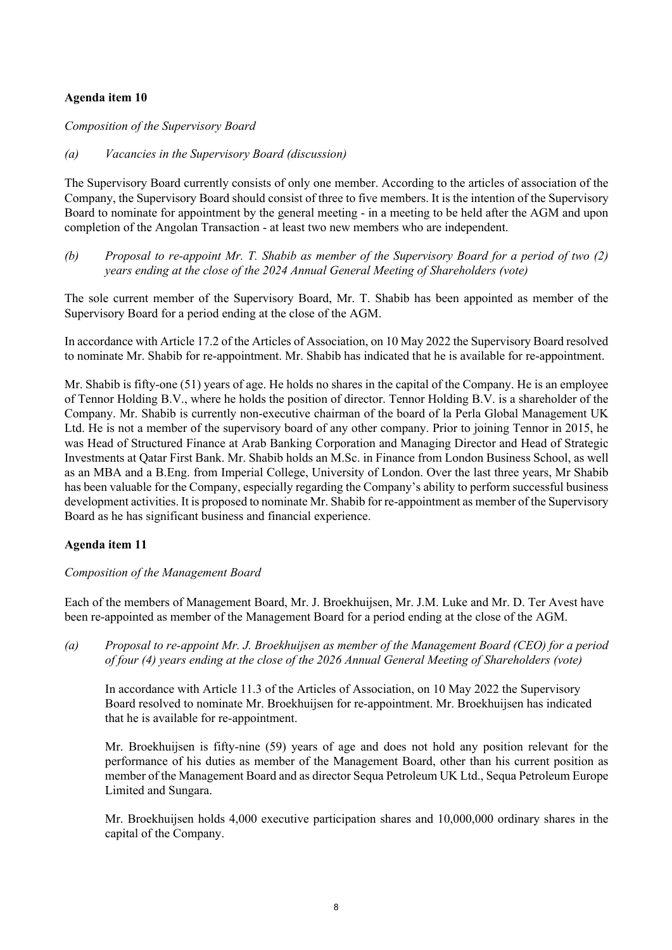## **Agenda item 10**

*Composition of the Supervisory Board*

## *(a) Vacancies in the Supervisory Board (discussion)*

The Supervisory Board currently consists of only one member. According to the articles of association of the Company, the Supervisory Board should consist of three to five members. It is the intention of the Supervisory Board to nominate for appointment by the general meeting - in a meeting to be held after the AGM and upon completion of the Angolan Transaction - at least two new members who are independent.

*(b) Proposal to re-appoint Mr. T. Shabib as member of the Supervisory Board for a period of two (2) years ending at the close of the 2024 Annual General Meeting of Shareholders (vote)*

The sole current member of the Supervisory Board, Mr. T. Shabib has been appointed as member of the Supervisory Board for a period ending at the close of the AGM.

In accordance with Article 17.2 of the Articles of Association, on 10 May 2022 the Supervisory Board resolved to nominate Mr. Shabib for re-appointment. Mr. Shabib has indicated that he is available for re-appointment.

Mr. Shabib is fifty-one (51) years of age. He holds no shares in the capital of the Company. He is an employee of Tennor Holding B.V., where he holds the position of director. Tennor Holding B.V. is a shareholder of the Company. Mr. Shabib is currently non-executive chairman of the board of la Perla Global Management UK Ltd. He is not a member of the supervisory board of any other company. Prior to joining Tennor in 2015, he was Head of Structured Finance at Arab Banking Corporation and Managing Director and Head of Strategic Investments at Qatar First Bank. Mr. Shabib holds an M.Sc. in Finance from London Business School, as well as an MBA and a B.Eng. from Imperial College, University of London. Over the last three years, Mr Shabib has been valuable for the Company, especially regarding the Company's ability to perform successful business development activities. It is proposed to nominate Mr. Shabib for re-appointment as member of the Supervisory Board as he has significant business and financial experience.

# **Agenda item 11**

### *Composition of the Management Board*

Each of the members of Management Board, Mr. J. Broekhuijsen, Mr. J.M. Luke and Mr. D. Ter Avest have been re-appointed as member of the Management Board for a period ending at the close of the AGM.

*(a) Proposal to re-appoint Mr. J. Broekhuijsen as member of the Management Board (CEO) for a period of four (4) years ending at the close of the 2026 Annual General Meeting of Shareholders (vote)*

In accordance with Article 11.3 of the Articles of Association, on 10 May 2022 the Supervisory Board resolved to nominate Mr. Broekhuijsen for re-appointment. Mr. Broekhuijsen has indicated that he is available for re-appointment.

Mr. Broekhuijsen is fifty-nine (59) years of age and does not hold any position relevant for the performance of his duties as member of the Management Board, other than his current position as member of the Management Board and as director Sequa Petroleum UK Ltd., Sequa Petroleum Europe Limited and Sungara.

Mr. Broekhuijsen holds 4,000 executive participation shares and 10,000,000 ordinary shares in the capital of the Company.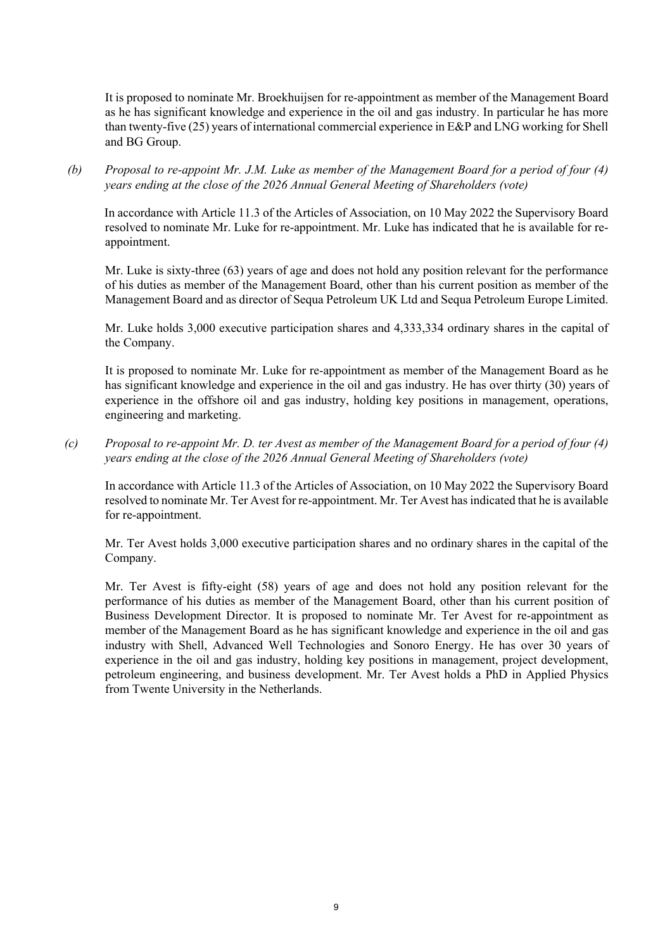It is proposed to nominate Mr. Broekhuijsen for re-appointment as member of the Management Board as he has significant knowledge and experience in the oil and gas industry. In particular he has more than twenty-five (25) years of international commercial experience in E&P and LNG working for Shell and BG Group.

*(b) Proposal to re-appoint Mr. J.M. Luke as member of the Management Board for a period of four (4) years ending at the close of the 2026 Annual General Meeting of Shareholders (vote)*

In accordance with Article 11.3 of the Articles of Association, on 10 May 2022 the Supervisory Board resolved to nominate Mr. Luke for re-appointment. Mr. Luke has indicated that he is available for reappointment.

Mr. Luke is sixty-three (63) years of age and does not hold any position relevant for the performance of his duties as member of the Management Board, other than his current position as member of the Management Board and as director of Sequa Petroleum UK Ltd and Sequa Petroleum Europe Limited.

Mr. Luke holds 3,000 executive participation shares and 4,333,334 ordinary shares in the capital of the Company.

It is proposed to nominate Mr. Luke for re-appointment as member of the Management Board as he has significant knowledge and experience in the oil and gas industry. He has over thirty (30) years of experience in the offshore oil and gas industry, holding key positions in management, operations, engineering and marketing.

*(c) Proposal to re-appoint Mr. D. ter Avest as member of the Management Board for a period of four (4) years ending at the close of the 2026 Annual General Meeting of Shareholders (vote)*

In accordance with Article 11.3 of the Articles of Association, on 10 May 2022 the Supervisory Board resolved to nominate Mr. Ter Avest for re-appointment. Mr. Ter Avest has indicated that he is available for re-appointment.

Mr. Ter Avest holds 3,000 executive participation shares and no ordinary shares in the capital of the Company.

Mr. Ter Avest is fifty-eight (58) years of age and does not hold any position relevant for the performance of his duties as member of the Management Board, other than his current position of Business Development Director. It is proposed to nominate Mr. Ter Avest for re-appointment as member of the Management Board as he has significant knowledge and experience in the oil and gas industry with Shell, Advanced Well Technologies and Sonoro Energy. He has over 30 years of experience in the oil and gas industry, holding key positions in management, project development, petroleum engineering, and business development. Mr. Ter Avest holds a PhD in Applied Physics from Twente University in the Netherlands.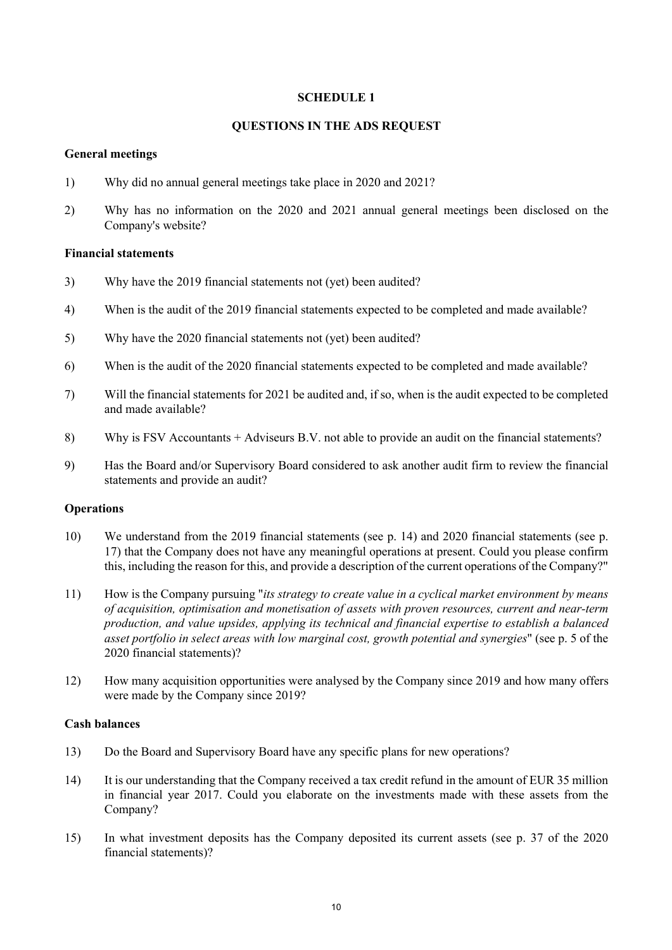### **SCHEDULE 1**

#### **QUESTIONS IN THE ADS REQUEST**

#### **General meetings**

- 1) Why did no annual general meetings take place in 2020 and 2021?
- 2) Why has no information on the 2020 and 2021 annual general meetings been disclosed on the Company's website?

#### **Financial statements**

- 3) Why have the 2019 financial statements not (yet) been audited?
- 4) When is the audit of the 2019 financial statements expected to be completed and made available?
- 5) Why have the 2020 financial statements not (yet) been audited?
- 6) When is the audit of the 2020 financial statements expected to be completed and made available?
- 7) Will the financial statements for 2021 be audited and, if so, when is the audit expected to be completed and made available?
- 8) Why is FSV Accountants + Adviseurs B.V. not able to provide an audit on the financial statements?
- 9) Has the Board and/or Supervisory Board considered to ask another audit firm to review the financial statements and provide an audit?

### **Operations**

- 10) We understand from the 2019 financial statements (see p. 14) and 2020 financial statements (see p. 17) that the Company does not have any meaningful operations at present. Could you please confirm this, including the reason for this, and provide a description of the current operations of the Company?"
- 11) How is the Company pursuing "*its strategy to create value in a cyclical market environment by means of acquisition, optimisation and monetisation of assets with proven resources, current and near-term production, and value upsides, applying its technical and financial expertise to establish a balanced asset portfolio in select areas with low marginal cost, growth potential and synergies*" (see p. 5 of the 2020 financial statements)?
- 12) How many acquisition opportunities were analysed by the Company since 2019 and how many offers were made by the Company since 2019?

#### **Cash balances**

- 13) Do the Board and Supervisory Board have any specific plans for new operations?
- 14) It is our understanding that the Company received a tax credit refund in the amount of EUR 35 million in financial year 2017. Could you elaborate on the investments made with these assets from the Company?
- 15) In what investment deposits has the Company deposited its current assets (see p. 37 of the 2020 financial statements)?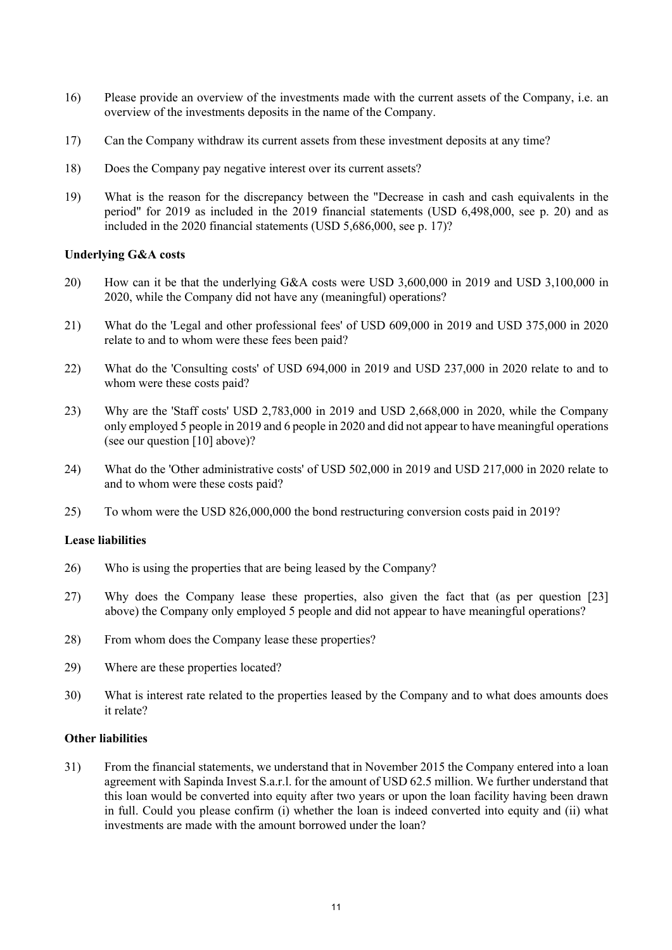- 16) Please provide an overview of the investments made with the current assets of the Company, i.e. an overview of the investments deposits in the name of the Company.
- 17) Can the Company withdraw its current assets from these investment deposits at any time?
- 18) Does the Company pay negative interest over its current assets?
- 19) What is the reason for the discrepancy between the "Decrease in cash and cash equivalents in the period" for 2019 as included in the 2019 financial statements (USD 6,498,000, see p. 20) and as included in the 2020 financial statements (USD 5,686,000, see p. 17)?

#### **Underlying G&A costs**

- 20) How can it be that the underlying G&A costs were USD 3,600,000 in 2019 and USD 3,100,000 in 2020, while the Company did not have any (meaningful) operations?
- 21) What do the 'Legal and other professional fees' of USD 609,000 in 2019 and USD 375,000 in 2020 relate to and to whom were these fees been paid?
- 22) What do the 'Consulting costs' of USD 694,000 in 2019 and USD 237,000 in 2020 relate to and to whom were these costs paid?
- 23) Why are the 'Staff costs' USD 2,783,000 in 2019 and USD 2,668,000 in 2020, while the Company only employed 5 people in 2019 and 6 people in 2020 and did not appear to have meaningful operations (see our question [10] above)?
- 24) What do the 'Other administrative costs' of USD 502,000 in 2019 and USD 217,000 in 2020 relate to and to whom were these costs paid?
- 25) To whom were the USD 826,000,000 the bond restructuring conversion costs paid in 2019?

## **Lease liabilities**

- 26) Who is using the properties that are being leased by the Company?
- 27) Why does the Company lease these properties, also given the fact that (as per question [23] above) the Company only employed 5 people and did not appear to have meaningful operations?
- 28) From whom does the Company lease these properties?
- 29) Where are these properties located?
- 30) What is interest rate related to the properties leased by the Company and to what does amounts does it relate?

#### **Other liabilities**

31) From the financial statements, we understand that in November 2015 the Company entered into a loan agreement with Sapinda Invest S.a.r.l. for the amount of USD 62.5 million. We further understand that this loan would be converted into equity after two years or upon the loan facility having been drawn in full. Could you please confirm (i) whether the loan is indeed converted into equity and (ii) what investments are made with the amount borrowed under the loan?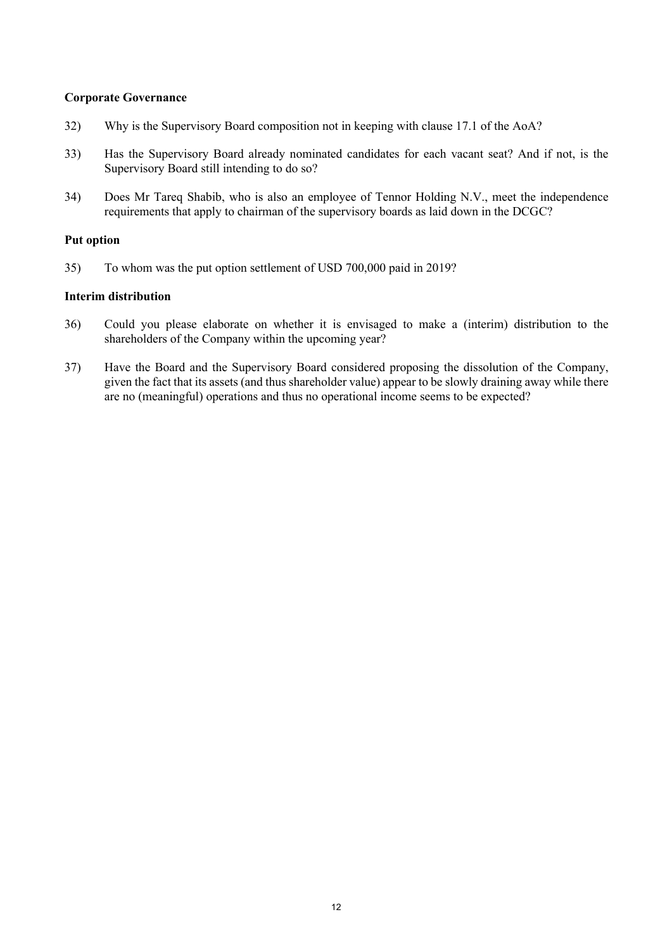## **Corporate Governance**

- 32) Why is the Supervisory Board composition not in keeping with clause 17.1 of the AoA?
- 33) Has the Supervisory Board already nominated candidates for each vacant seat? And if not, is the Supervisory Board still intending to do so?
- 34) Does Mr Tareq Shabib, who is also an employee of Tennor Holding N.V., meet the independence requirements that apply to chairman of the supervisory boards as laid down in the DCGC?

### **Put option**

35) To whom was the put option settlement of USD 700,000 paid in 2019?

## **Interim distribution**

- 36) Could you please elaborate on whether it is envisaged to make a (interim) distribution to the shareholders of the Company within the upcoming year?
- 37) Have the Board and the Supervisory Board considered proposing the dissolution of the Company, given the fact that its assets (and thus shareholder value) appear to be slowly draining away while there are no (meaningful) operations and thus no operational income seems to be expected?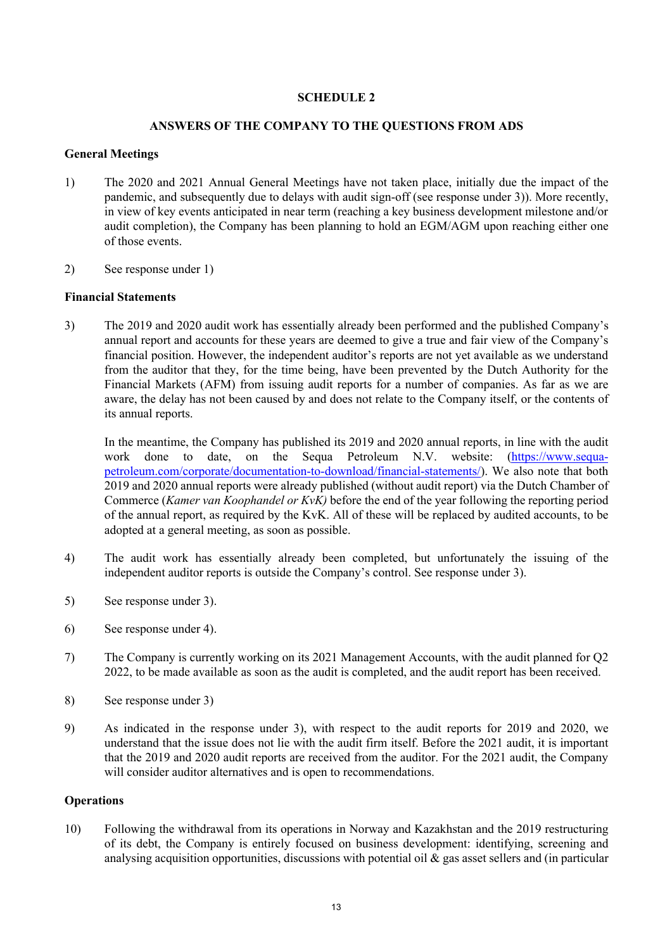## **SCHEDULE 2**

## **ANSWERS OF THE COMPANY TO THE QUESTIONS FROM ADS**

## **General Meetings**

- 1) The 2020 and 2021 Annual General Meetings have not taken place, initially due the impact of the pandemic, and subsequently due to delays with audit sign-off (see response under 3)). More recently, in view of key events anticipated in near term (reaching a key business development milestone and/or audit completion), the Company has been planning to hold an EGM/AGM upon reaching either one of those events.
- 2) See response under 1)

## **Financial Statements**

3) The 2019 and 2020 audit work has essentially already been performed and the published Company's annual report and accounts for these years are deemed to give a true and fair view of the Company's financial position. However, the independent auditor's reports are not yet available as we understand from the auditor that they, for the time being, have been prevented by the Dutch Authority for the Financial Markets (AFM) from issuing audit reports for a number of companies. As far as we are aware, the delay has not been caused by and does not relate to the Company itself, or the contents of its annual reports.

In the meantime, the Company has published its 2019 and 2020 annual reports, in line with the audit work done to date, on the Sequa Petroleum N.V. website: (https://www.sequapetroleum.com/corporate/documentation-to-download/financial-statements/). We also note that both 2019 and 2020 annual reports were already published (without audit report) via the Dutch Chamber of Commerce (*Kamer van Koophandel or KvK)* before the end of the year following the reporting period of the annual report, as required by the KvK. All of these will be replaced by audited accounts, to be adopted at a general meeting, as soon as possible.

- 4) The audit work has essentially already been completed, but unfortunately the issuing of the independent auditor reports is outside the Company's control. See response under 3).
- 5) See response under 3).
- 6) See response under 4).
- 7) The Company is currently working on its 2021 Management Accounts, with the audit planned for Q2 2022, to be made available as soon as the audit is completed, and the audit report has been received.
- 8) See response under 3)
- 9) As indicated in the response under 3), with respect to the audit reports for 2019 and 2020, we understand that the issue does not lie with the audit firm itself. Before the 2021 audit, it is important that the 2019 and 2020 audit reports are received from the auditor. For the 2021 audit, the Company will consider auditor alternatives and is open to recommendations.

### **Operations**

10) Following the withdrawal from its operations in Norway and Kazakhstan and the 2019 restructuring of its debt, the Company is entirely focused on business development: identifying, screening and analysing acquisition opportunities, discussions with potential oil  $\&$  gas asset sellers and (in particular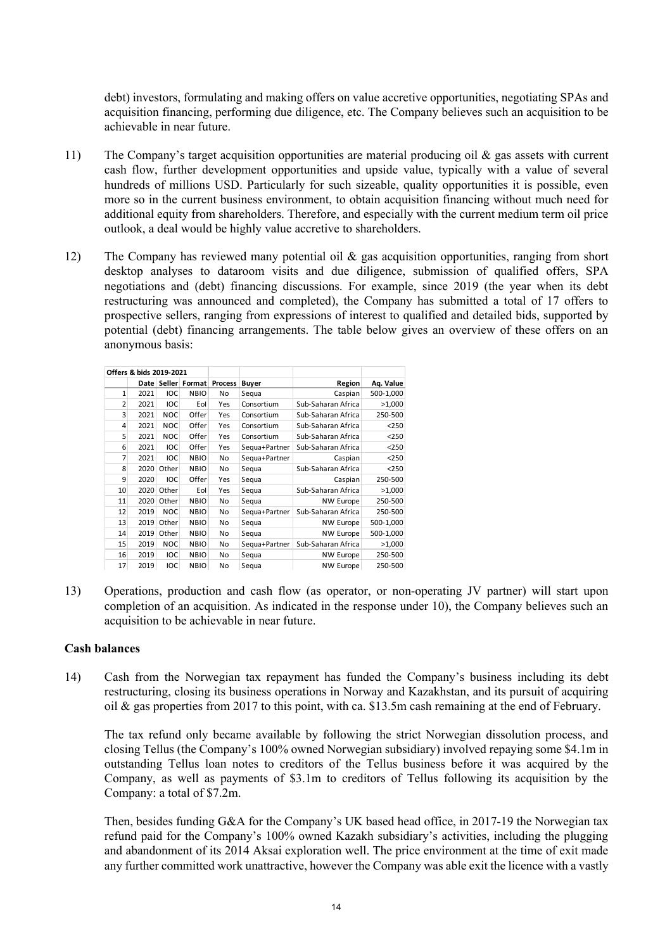debt) investors, formulating and making offers on value accretive opportunities, negotiating SPAs and acquisition financing, performing due diligence, etc. The Company believes such an acquisition to be achievable in near future.

- 11) The Company's target acquisition opportunities are material producing oil  $\&$  gas assets with current cash flow, further development opportunities and upside value, typically with a value of several hundreds of millions USD. Particularly for such sizeable, quality opportunities it is possible, even more so in the current business environment, to obtain acquisition financing without much need for additional equity from shareholders. Therefore, and especially with the current medium term oil price outlook, a deal would be highly value accretive to shareholders.
- 12) The Company has reviewed many potential oil & gas acquisition opportunities, ranging from short desktop analyses to dataroom visits and due diligence, submission of qualified offers, SPA negotiations and (debt) financing discussions. For example, since 2019 (the year when its debt restructuring was announced and completed), the Company has submitted a total of 17 offers to prospective sellers, ranging from expressions of interest to qualified and detailed bids, supported by potential (debt) financing arrangements. The table below gives an overview of these offers on an anonymous basis:

| Offers & bids 2019-2021 |      |            |               |                |               |                    |           |
|-------------------------|------|------------|---------------|----------------|---------------|--------------------|-----------|
|                         | Date |            | Seller Format | <b>Process</b> | <b>Buyer</b>  | Region             | Aq. Value |
| 1                       | 2021 | IOC        | <b>NBIO</b>   | No             | Segua         | Caspian            | 500-1,000 |
| 2                       | 2021 | IOC        | Eol           | Yes            | Consortium    | Sub-Saharan Africa | >1,000    |
| 3                       | 2021 | <b>NOC</b> | Offer         | Yes            | Consortium    | Sub-Saharan Africa | 250-500   |
| 4                       | 2021 | <b>NOC</b> | Offer         | Yes            | Consortium    | Sub-Saharan Africa | < 250     |
| 5                       | 2021 | <b>NOC</b> | Offer         | Yes            | Consortium    | Sub-Saharan Africa | < 250     |
| 6                       | 2021 | IOC        | Offer         | Yes            | Sequa+Partner | Sub-Saharan Africa | $250$     |
| 7                       | 2021 | <b>IOC</b> | <b>NBIO</b>   | No             | Sequa+Partner | Caspian            | $250$     |
| 8                       | 2020 | Other      | <b>NBIO</b>   | No             | Sequa         | Sub-Saharan Africa | < 250     |
| 9                       | 2020 | IOC        | Offer         | Yes            | Sequa         | Caspian            | 250-500   |
| 10                      | 2020 | Other      | Eol           | Yes            | Segua         | Sub-Saharan Africa | >1,000    |
| 11                      | 2020 | Other      | <b>NBIO</b>   | No             | Segua         | <b>NW Europe</b>   | 250-500   |
| 12                      | 2019 | <b>NOC</b> | <b>NBIO</b>   | No             | Segua+Partner | Sub-Saharan Africa | 250-500   |
| 13                      | 2019 | Other      | <b>NBIO</b>   | No             | Sequa         | <b>NW Europe</b>   | 500-1,000 |
| 14                      | 2019 | Other      | <b>NBIO</b>   | No             | Sequa         | NW Europe          | 500-1,000 |
| 15                      | 2019 | <b>NOC</b> | <b>NBIO</b>   | No             | Sequa+Partner | Sub-Saharan Africa | >1,000    |
| 16                      | 2019 | IOC        | <b>NBIO</b>   | No             | Sequa         | <b>NW Europe</b>   | 250-500   |
| 17                      | 2019 | IOC        | <b>NBIO</b>   | No             | Sequa         | <b>NW Europe</b>   | 250-500   |

13) Operations, production and cash flow (as operator, or non-operating JV partner) will start upon completion of an acquisition. As indicated in the response under 10), the Company believes such an acquisition to be achievable in near future.

#### **Cash balances**

14) Cash from the Norwegian tax repayment has funded the Company's business including its debt restructuring, closing its business operations in Norway and Kazakhstan, and its pursuit of acquiring oil & gas properties from 2017 to this point, with ca. \$13.5m cash remaining at the end of February.

The tax refund only became available by following the strict Norwegian dissolution process, and closing Tellus (the Company's 100% owned Norwegian subsidiary) involved repaying some \$4.1m in outstanding Tellus loan notes to creditors of the Tellus business before it was acquired by the Company, as well as payments of \$3.1m to creditors of Tellus following its acquisition by the Company: a total of \$7.2m.

Then, besides funding G&A for the Company's UK based head office, in 2017-19 the Norwegian tax refund paid for the Company's 100% owned Kazakh subsidiary's activities, including the plugging and abandonment of its 2014 Aksai exploration well. The price environment at the time of exit made any further committed work unattractive, however the Company was able exit the licence with a vastly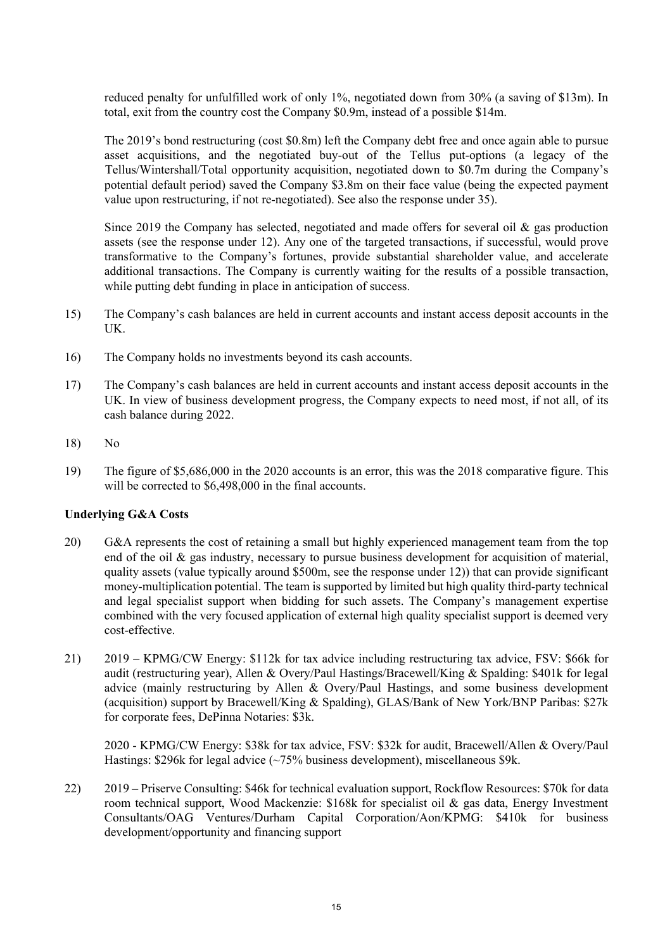reduced penalty for unfulfilled work of only 1%, negotiated down from 30% (a saving of \$13m). In total, exit from the country cost the Company \$0.9m, instead of a possible \$14m.

The 2019's bond restructuring (cost \$0.8m) left the Company debt free and once again able to pursue asset acquisitions, and the negotiated buy-out of the Tellus put-options (a legacy of the Tellus/Wintershall/Total opportunity acquisition, negotiated down to \$0.7m during the Company's potential default period) saved the Company \$3.8m on their face value (being the expected payment value upon restructuring, if not re-negotiated). See also the response under 35).

Since 2019 the Company has selected, negotiated and made offers for several oil  $\&$  gas production assets (see the response under 12). Any one of the targeted transactions, if successful, would prove transformative to the Company's fortunes, provide substantial shareholder value, and accelerate additional transactions. The Company is currently waiting for the results of a possible transaction, while putting debt funding in place in anticipation of success.

- 15) The Company's cash balances are held in current accounts and instant access deposit accounts in the UK.
- 16) The Company holds no investments beyond its cash accounts.
- 17) The Company's cash balances are held in current accounts and instant access deposit accounts in the UK. In view of business development progress, the Company expects to need most, if not all, of its cash balance during 2022.
- 18) No
- 19) The figure of \$5,686,000 in the 2020 accounts is an error, this was the 2018 comparative figure. This will be corrected to \$6,498,000 in the final accounts.

## **Underlying G&A Costs**

- 20) G&A represents the cost of retaining a small but highly experienced management team from the top end of the oil & gas industry, necessary to pursue business development for acquisition of material, quality assets (value typically around \$500m, see the response under 12)) that can provide significant money-multiplication potential. The team is supported by limited but high quality third-party technical and legal specialist support when bidding for such assets. The Company's management expertise combined with the very focused application of external high quality specialist support is deemed very cost-effective.
- 21) 2019 KPMG/CW Energy: \$112k for tax advice including restructuring tax advice, FSV: \$66k for audit (restructuring year), Allen & Overy/Paul Hastings/Bracewell/King & Spalding: \$401k for legal advice (mainly restructuring by Allen & Overy/Paul Hastings, and some business development (acquisition) support by Bracewell/King & Spalding), GLAS/Bank of New York/BNP Paribas: \$27k for corporate fees, DePinna Notaries: \$3k.

2020 - KPMG/CW Energy: \$38k for tax advice, FSV: \$32k for audit, Bracewell/Allen & Overy/Paul Hastings: \$296k for legal advice (~75% business development), miscellaneous \$9k.

22) 2019 – Priserve Consulting: \$46k for technical evaluation support, Rockflow Resources: \$70k for data room technical support, Wood Mackenzie: \$168k for specialist oil & gas data, Energy Investment Consultants/OAG Ventures/Durham Capital Corporation/Aon/KPMG: \$410k for business development/opportunity and financing support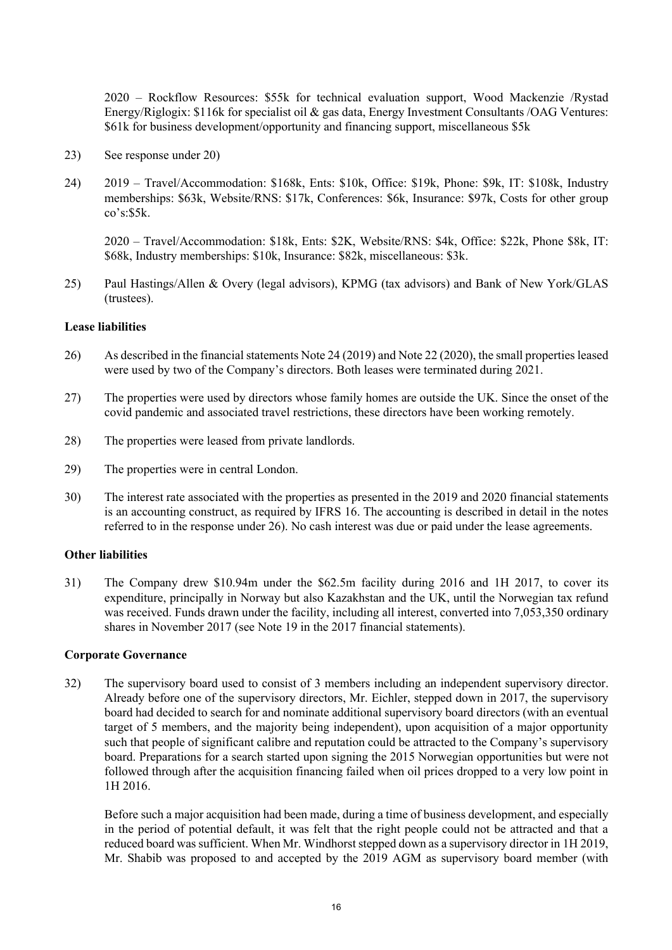2020 – Rockflow Resources: \$55k for technical evaluation support, Wood Mackenzie /Rystad Energy/Riglogix: \$116k for specialist oil & gas data, Energy Investment Consultants /OAG Ventures: \$61k for business development/opportunity and financing support, miscellaneous \$5k

- 23) See response under 20)
- 24) 2019 Travel/Accommodation: \$168k, Ents: \$10k, Office: \$19k, Phone: \$9k, IT: \$108k, Industry memberships: \$63k, Website/RNS: \$17k, Conferences: \$6k, Insurance: \$97k, Costs for other group  $\cos$ 's:\$5k.

2020 – Travel/Accommodation: \$18k, Ents: \$2K, Website/RNS: \$4k, Office: \$22k, Phone \$8k, IT: \$68k, Industry memberships: \$10k, Insurance: \$82k, miscellaneous: \$3k.

25) Paul Hastings/Allen & Overy (legal advisors), KPMG (tax advisors) and Bank of New York/GLAS (trustees).

#### **Lease liabilities**

- 26) As described in the financial statements Note 24 (2019) and Note 22 (2020), the small properties leased were used by two of the Company's directors. Both leases were terminated during 2021.
- 27) The properties were used by directors whose family homes are outside the UK. Since the onset of the covid pandemic and associated travel restrictions, these directors have been working remotely.
- 28) The properties were leased from private landlords.
- 29) The properties were in central London.
- 30) The interest rate associated with the properties as presented in the 2019 and 2020 financial statements is an accounting construct, as required by IFRS 16. The accounting is described in detail in the notes referred to in the response under 26). No cash interest was due or paid under the lease agreements.

#### **Other liabilities**

31) The Company drew \$10.94m under the \$62.5m facility during 2016 and 1H 2017, to cover its expenditure, principally in Norway but also Kazakhstan and the UK, until the Norwegian tax refund was received. Funds drawn under the facility, including all interest, converted into 7,053,350 ordinary shares in November 2017 (see Note 19 in the 2017 financial statements).

#### **Corporate Governance**

32) The supervisory board used to consist of 3 members including an independent supervisory director. Already before one of the supervisory directors, Mr. Eichler, stepped down in 2017, the supervisory board had decided to search for and nominate additional supervisory board directors (with an eventual target of 5 members, and the majority being independent), upon acquisition of a major opportunity such that people of significant calibre and reputation could be attracted to the Company's supervisory board. Preparations for a search started upon signing the 2015 Norwegian opportunities but were not followed through after the acquisition financing failed when oil prices dropped to a very low point in 1H 2016.

Before such a major acquisition had been made, during a time of business development, and especially in the period of potential default, it was felt that the right people could not be attracted and that a reduced board was sufficient. When Mr. Windhorst stepped down as a supervisory director in 1H 2019, Mr. Shabib was proposed to and accepted by the 2019 AGM as supervisory board member (with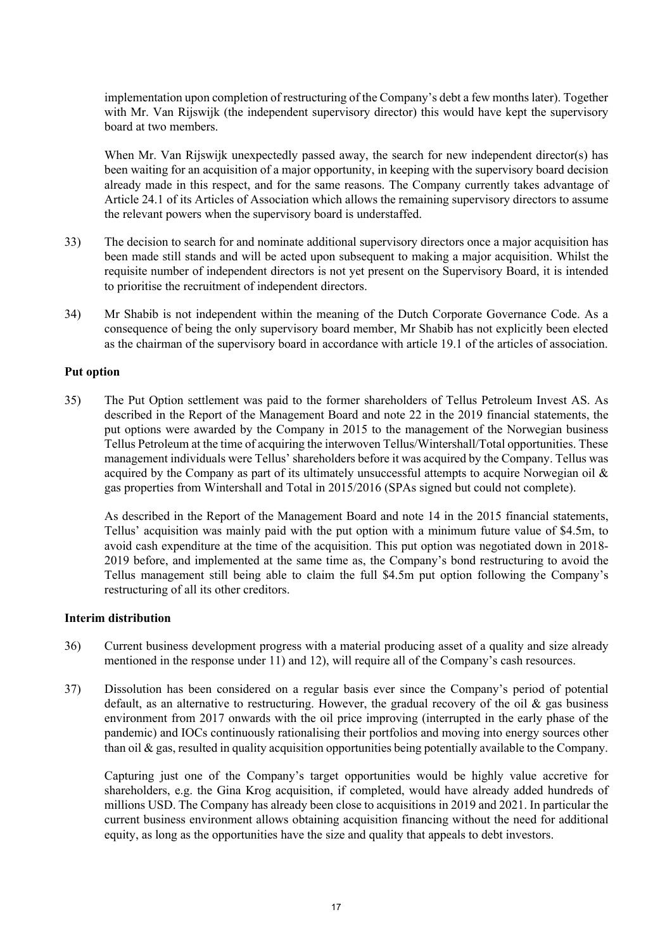implementation upon completion of restructuring of the Company's debt a few months later). Together with Mr. Van Rijswijk (the independent supervisory director) this would have kept the supervisory board at two members.

When Mr. Van Rijswijk unexpectedly passed away, the search for new independent director(s) has been waiting for an acquisition of a major opportunity, in keeping with the supervisory board decision already made in this respect, and for the same reasons. The Company currently takes advantage of Article 24.1 of its Articles of Association which allows the remaining supervisory directors to assume the relevant powers when the supervisory board is understaffed.

- 33) The decision to search for and nominate additional supervisory directors once a major acquisition has been made still stands and will be acted upon subsequent to making a major acquisition. Whilst the requisite number of independent directors is not yet present on the Supervisory Board, it is intended to prioritise the recruitment of independent directors.
- 34) Mr Shabib is not independent within the meaning of the Dutch Corporate Governance Code. As a consequence of being the only supervisory board member, Mr Shabib has not explicitly been elected as the chairman of the supervisory board in accordance with article 19.1 of the articles of association.

#### **Put option**

35) The Put Option settlement was paid to the former shareholders of Tellus Petroleum Invest AS. As described in the Report of the Management Board and note 22 in the 2019 financial statements, the put options were awarded by the Company in 2015 to the management of the Norwegian business Tellus Petroleum at the time of acquiring the interwoven Tellus/Wintershall/Total opportunities. These management individuals were Tellus' shareholders before it was acquired by the Company. Tellus was acquired by the Company as part of its ultimately unsuccessful attempts to acquire Norwegian oil  $\&$ gas properties from Wintershall and Total in 2015/2016 (SPAs signed but could not complete).

As described in the Report of the Management Board and note 14 in the 2015 financial statements, Tellus' acquisition was mainly paid with the put option with a minimum future value of \$4.5m, to avoid cash expenditure at the time of the acquisition. This put option was negotiated down in 2018- 2019 before, and implemented at the same time as, the Company's bond restructuring to avoid the Tellus management still being able to claim the full \$4.5m put option following the Company's restructuring of all its other creditors.

#### **Interim distribution**

- 36) Current business development progress with a material producing asset of a quality and size already mentioned in the response under 11) and 12), will require all of the Company's cash resources.
- 37) Dissolution has been considered on a regular basis ever since the Company's period of potential default, as an alternative to restructuring. However, the gradual recovery of the oil & gas business environment from 2017 onwards with the oil price improving (interrupted in the early phase of the pandemic) and IOCs continuously rationalising their portfolios and moving into energy sources other than oil & gas, resulted in quality acquisition opportunities being potentially available to the Company.

Capturing just one of the Company's target opportunities would be highly value accretive for shareholders, e.g. the Gina Krog acquisition, if completed, would have already added hundreds of millions USD. The Company has already been close to acquisitions in 2019 and 2021. In particular the current business environment allows obtaining acquisition financing without the need for additional equity, as long as the opportunities have the size and quality that appeals to debt investors.